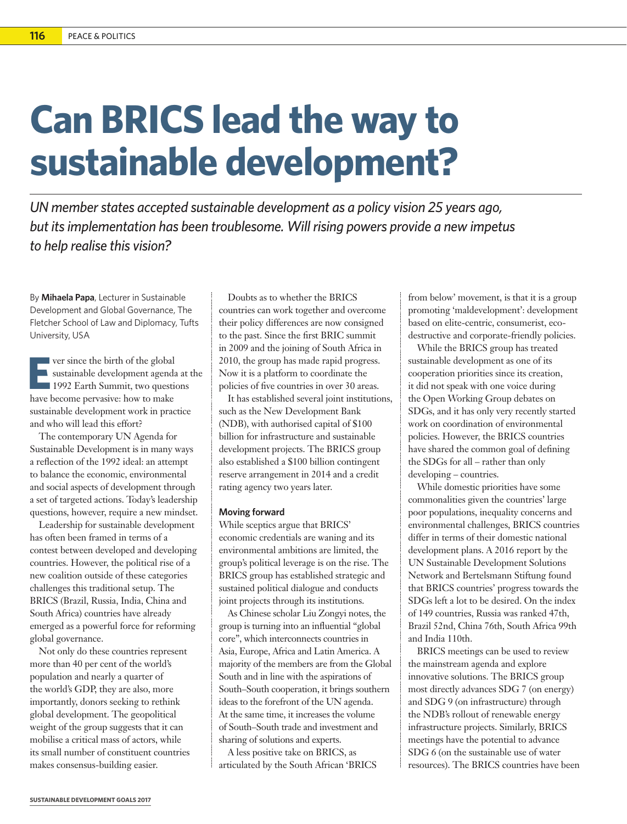## **Can BRICS lead the way to sustainable development?**

*UN member states accepted sustainable development as a policy vision 25 years ago, but its implementation has been troublesome. Will rising powers provide a new impetus to help realise this vision?* 

By **Mihaela Papa**, Lecturer in Sustainable Development and Global Governance, The Fletcher School of Law and Diplomacy, Tufts University, USA

**EVERTHS** ver since the birth of the global<br>
sustainable development agenda at 1992 Earth Summit, two questions<br>
have become permeive: bow to make sustainable development agenda at the have become pervasive: how to make sustainable development work in practice and who will lead this effort?

The contemporary UN Agenda for Sustainable Development is in many ways a reflection of the 1992 ideal: an attempt to balance the economic, environmental and social aspects of development through a set of targeted actions. Today's leadership questions, however, require a new mindset.

Leadership for sustainable development has often been framed in terms of a contest between developed and developing countries. However, the political rise of a new coalition outside of these categories challenges this traditional setup. The BRICS (Brazil, Russia, India, China and South Africa) countries have already emerged as a powerful force for reforming global governance.

Not only do these countries represent more than 40 per cent of the world's population and nearly a quarter of the world's GDP, they are also, more importantly, donors seeking to rethink global development. The geopolitical weight of the group suggests that it can mobilise a critical mass of actors, while its small number of constituent countries makes consensus-building easier.

Doubts as to whether the BRICS countries can work together and overcome their policy differences are now consigned to the past. Since the first BRIC summit in 2009 and the joining of South Africa in 2010, the group has made rapid progress. Now it is a platform to coordinate the policies of five countries in over 30 areas.

It has established several joint institutions, such as the New Development Bank (NDB), with authorised capital of \$100 billion for infrastructure and sustainable development projects. The BRICS group also established a \$100 billion contingent reserve arrangement in 2014 and a credit rating agency two years later.

## **Moving forward**

While sceptics argue that BRICS' economic credentials are waning and its environmental ambitions are limited, the group's political leverage is on the rise. The BRICS group has established strategic and sustained political dialogue and conducts joint projects through its institutions.

As Chinese scholar Liu Zongyi notes, the group is turning into an influential "global core", which interconnects countries in Asia, Europe, Africa and Latin America. A majority of the members are from the Global South and in line with the aspirations of South–South cooperation, it brings southern ideas to the forefront of the UN agenda. At the same time, it increases the volume of South–South trade and investment and sharing of solutions and experts.

A less positive take on BRICS, as articulated by the South African 'BRICS from below' movement, is that it is a group promoting 'maldevelopment': development based on elite-centric, consumerist, ecodestructive and corporate-friendly policies.

While the BRICS group has treated sustainable development as one of its cooperation priorities since its creation, it did not speak with one voice during the Open Working Group debates on SDGs, and it has only very recently started work on coordination of environmental policies. However, the BRICS countries have shared the common goal of defining the SDGs for all – rather than only developing – countries.

While domestic priorities have some commonalities given the countries' large poor populations, inequality concerns and environmental challenges, BRICS countries differ in terms of their domestic national development plans. A 2016 report by the UN Sustainable Development Solutions Network and Bertelsmann Stiftung found that BRICS countries' progress towards the SDGs left a lot to be desired. On the index of 149 countries, Russia was ranked 47th, Brazil 52nd, China 76th, South Africa 99th and India 110th.

BRICS meetings can be used to review the mainstream agenda and explore innovative solutions. The BRICS group most directly advances SDG 7 (on energy) and SDG 9 (on infrastructure) through the NDB's rollout of renewable energy infrastructure projects. Similarly, BRICS meetings have the potential to advance SDG 6 (on the sustainable use of water resources). The BRICS countries have been